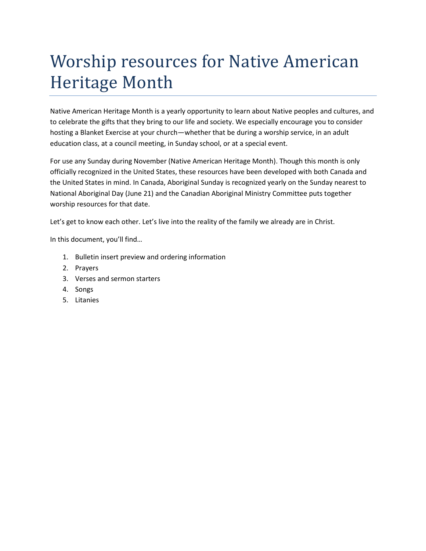# Worship resources for Native American Heritage Month

Native American Heritage Month is a yearly opportunity to learn about Native peoples and cultures, and to celebrate the gifts that they bring to our life and society. We especially encourage you to consider hosting a Blanket Exercise at your church—whether that be during a worship service, in an adult education class, at a council meeting, in Sunday school, or at a special event.

For use any Sunday during November (Native American Heritage Month). Though this month is only officially recognized in the United States, these resources have been developed with both Canada and the United States in mind. In Canada, Aboriginal Sunday is recognized yearly on the Sunday nearest to National Aboriginal Day (June 21) and the Canadian Aboriginal Ministry Committee puts together worship resources for that date.

Let's get to know each other. Let's live into the reality of the family we already are in Christ.

In this document, you'll find…

- 1. Bulletin insert preview and ordering information
- 2. Prayers
- 3. Verses and sermon starters
- 4. Songs
- 5. Litanies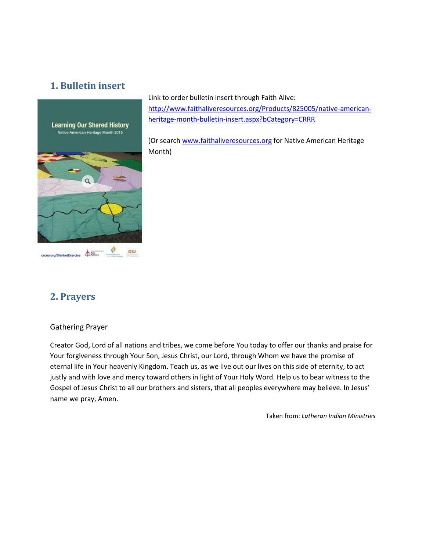# **1. Bulletin insert**



Link to order bulletin insert through Faith Alive: [http://www.faithaliveresources.org/Products/825005/native-american](http://www.faithaliveresources.org/Products/825005/native-american-heritage-month-bulletin-insert.aspx?bCategory=CRRR)[heritage-month-bulletin-insert.aspx?bCategory=CRRR](http://www.faithaliveresources.org/Products/825005/native-american-heritage-month-bulletin-insert.aspx?bCategory=CRRR)

(Or searc[h www.faithaliveresources.org](http://www.faithaliveresources.org/) for Native American Heritage Month)

# **2. Prayers**

## Gathering Prayer

Creator God, Lord of all nations and tribes, we come before You today to offer our thanks and praise for Your forgiveness through Your Son, Jesus Christ, our Lord, through Whom we have the promise of eternal life in Your heavenly Kingdom. Teach us, as we live out our lives on this side of eternity, to act justly and with love and mercy toward others in light of Your Holy Word. Help us to bear witness to the Gospel of Jesus Christ to all our brothers and sisters, that all peoples everywhere may believe. In Jesus' name we pray, Amen.

Taken from: *Lutheran Indian Ministries*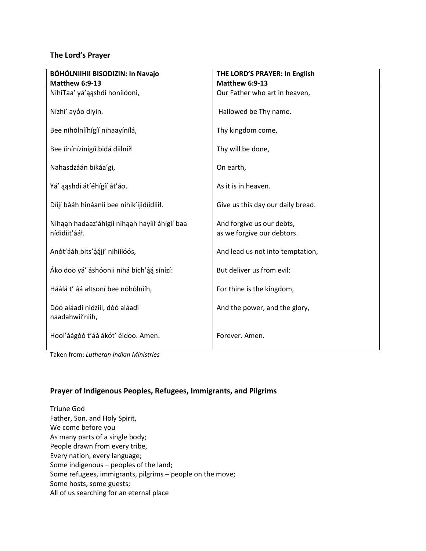## **The Lord's Prayer**

| BÓHÓLNIIHII BISODIZIN: In Navajo                               | THE LORD'S PRAYER: In English                           |
|----------------------------------------------------------------|---------------------------------------------------------|
| <b>Matthew 6:9-13</b>                                          | <b>Matthew 6:9-13</b>                                   |
| NihiTaa' yá'aashdi honílóoni,                                  | Our Father who art in heaven,                           |
| Nízhi' ayóo diyin.                                             | Hallowed be Thy name.                                   |
| Bee níhólnííhígíí nihaayínílá,                                 | Thy kingdom come,                                       |
| Bee íínínízinígíí bidá diilnííł                                | Thy will be done,                                       |
| Nahasdzáán bikáa'gi,                                           | On earth,                                               |
| Yá' aashdi át'éhígíí át'áo.                                    | As it is in heaven.                                     |
| Dííjí bááh hináanii bee nihik'ijidíídliił.                     | Give us this day our daily bread.                       |
| Nihaah hadaaz'áhígíí nihaah hayííł áhígíí baa<br>nídidiit'ááł. | And forgive us our debts,<br>as we forgive our debtors. |
| Anót'ááh bits'áájj' nihíílóós,                                 | And lead us not into temptation,                        |
| Áko doo yá' áshóonii nihá bich'áá sínízí:                      | But deliver us from evil:                               |
| Háálá t' áá ałtsoní bee nóhólnííh,                             | For thine is the kingdom,                               |
| Dóó aláadi nidziil, dóó aláadi<br>naadahwii'niih,              | And the power, and the glory,                           |
| Hool'áágóó t'áá ákót' éidoo. Amen.                             | Forever, Amen.                                          |

Taken from: *Lutheran Indian Ministries*

## **Prayer of Indigenous Peoples, Refugees, Immigrants, and Pilgrims**

Triune God Father, Son, and Holy Spirit, We come before you As many parts of a single body; People drawn from every tribe, Every nation, every language; Some indigenous – peoples of the land; Some refugees, immigrants, pilgrims – people on the move; Some hosts, some guests; All of us searching for an eternal place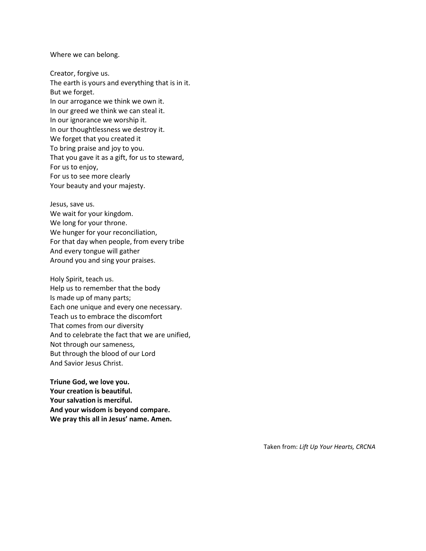Where we can belong.

Creator, forgive us. The earth is yours and everything that is in it. But we forget. In our arrogance we think we own it. In our greed we think we can steal it. In our ignorance we worship it. In our thoughtlessness we destroy it. We forget that you created it To bring praise and joy to you. That you gave it as a gift, for us to steward, For us to enjoy, For us to see more clearly Your beauty and your majesty.

Jesus, save us. We wait for your kingdom. We long for your throne. We hunger for your reconciliation, For that day when people, from every tribe And every tongue will gather Around you and sing your praises.

Holy Spirit, teach us. Help us to remember that the body Is made up of many parts; Each one unique and every one necessary. Teach us to embrace the discomfort That comes from our diversity And to celebrate the fact that we are unified, Not through our sameness, But through the blood of our Lord And Savior Jesus Christ.

**Triune God, we love you. Your creation is beautiful. Your salvation is merciful. And your wisdom is beyond compare. We pray this all in Jesus' name. Amen.**

Taken from: *Lift Up Your Hearts, CRCNA*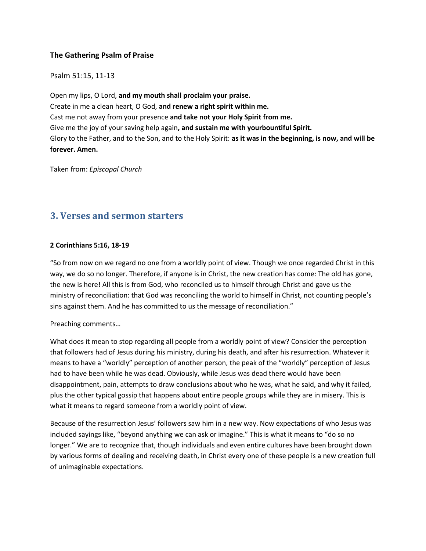## **The Gathering Psalm of Praise**

Psalm 51:15, 11-13

Open my lips, O Lord, **and my mouth shall proclaim your praise.** Create in me a clean heart, O God, **and renew a right spirit within me.** Cast me not away from your presence **and take not your Holy Spirit from me.** Give me the joy of your saving help again**, and sustain me with yourbountiful Spirit.** Glory to the Father, and to the Son, and to the Holy Spirit: **as it was in the beginning, is now, and will be forever. Amen.**

Taken from: *Episcopal Church*

# **3. Verses and sermon starters**

## **2 Corinthians 5:16, 18-19**

"So from now on we regard no one from a worldly point of view. Though we once regarded Christ in this way, we do so no longer. Therefore, if anyone is in Christ, the new creation has come: The old has gone, the new is here! All this is from God, who reconciled us to himself through Christ and gave us the ministry of reconciliation: that God was reconciling the world to himself in Christ, not counting people's sins against them. And he has committed to us the message of reconciliation."

## Preaching comments…

What does it mean to stop regarding all people from a worldly point of view? Consider the perception that followers had of Jesus during his ministry, during his death, and after his resurrection. Whatever it means to have a "worldly" perception of another person, the peak of the "worldly" perception of Jesus had to have been while he was dead. Obviously, while Jesus was dead there would have been disappointment, pain, attempts to draw conclusions about who he was, what he said, and why it failed, plus the other typical gossip that happens about entire people groups while they are in misery. This is what it means to regard someone from a worldly point of view.

Because of the resurrection Jesus' followers saw him in a new way. Now expectations of who Jesus was included sayings like, "beyond anything we can ask or imagine." This is what it means to "do so no longer." We are to recognize that, though individuals and even entire cultures have been brought down by various forms of dealing and receiving death, in Christ every one of these people is a new creation full of unimaginable expectations.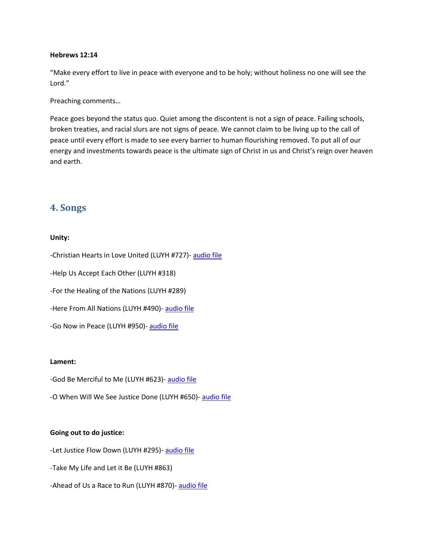#### **Hebrews 12:14**

"Make every effort to live in peace with everyone and to be holy; without holiness no one will see the Lord."

Preaching comments…

Peace goes beyond the status quo. Quiet among the discontent is not a sign of peace. Failing schools, broken treaties, and racial slurs are not signs of peace. We cannot claim to be living up to the call of peace until every effort is made to see every barrier to human flourishing removed. To put all of our energy and investments towards peace is the ultimate sign of Christ in us and Christ's reign over heaven and earth.

## **4. Songs**

## **Unity:**

-Christian Hearts in Love United (LUYH #727)- [audio file](http://liftupyourheartshymnal.org/sites/default/files/song-audio/Christian%20Hearts%20in%20Love%20United.mp3)

-Help Us Accept Each Other (LUYH #318)

-For the Healing of the Nations (LUYH #289)

-Here From All Nations (LUYH #490)- [audio file](http://liftupyourheartshymnal.org/sites/default/files/song-audio/PAS_95G-1_0.mp3)

-Go Now in Peace (LUYH #950)- [audio file](http://liftupyourheartshymnal.org/sites/default/files/song-audio/950%20Go%20Now%20In%20Peace.mp3)

#### **Lament:**

- -God Be Merciful to Me (LUYH #623)- [audio file](http://liftupyourheartshymnal.org/sites/default/files/song-audio/623%20God%2C%20Be%20Merciful%20to%20Me_0.mp3)
- -O When Will We See Justice Done (LUYH #650)- [audio file](http://liftupyourheartshymnal.org/sites/default/files/song-audio/PAS_60A-1.mp3)

#### **Going out to do justice:**

-Let Justice Flow Down (LUYH #295)- [audio file](http://liftupyourheartshymnal.org/sites/default/files/song-audio/295%20Let%20Justice%20Flow.mp3)

-Take My Life and Let it Be (LUYH #863)

-Ahead of Us a Race to Run (LUYH #870)- [audio file](http://liftupyourheartshymnal.org/sites/default/files/song-audio/PAS_138A-1_0.mp3)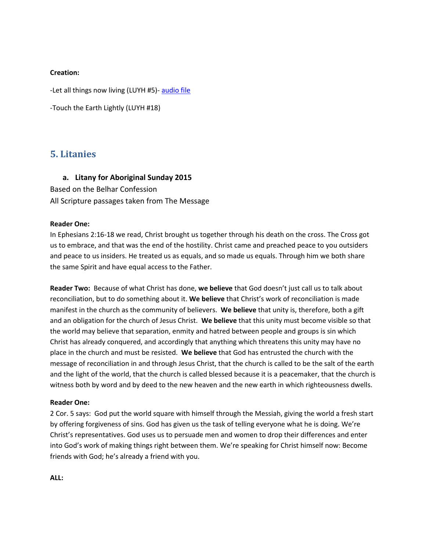#### **Creation:**

-Let all things now living (LUYH #5)- [audio file](http://liftupyourheartshymnal.org/sites/default/files/song-audio/5%20Let%20All%20Things%20Now%20Living.mp3)

-Touch the Earth Lightly (LUYH #18)

## **5. Litanies**

## **a. Litany for Aboriginal Sunday 2015**

Based on the Belhar Confession All Scripture passages taken from The Message

## **Reader One:**

In Ephesians 2:16-18 we read, Christ brought us together through his death on the cross. The Cross got us to embrace, and that was the end of the hostility. Christ came and preached peace to you outsiders and peace to us insiders. He treated us as equals, and so made us equals. Through him we both share the same Spirit and have equal access to the Father.

**Reader Two:** Because of what Christ has done, **we believe** that God doesn't just call us to talk about reconciliation, but to do something about it. **We believe** that Christ's work of reconciliation is made manifest in the church as the community of believers. **We believe** that unity is, therefore, both a gift and an obligation for the church of Jesus Christ. **We believe** that this unity must become visible so that the world may believe that separation, enmity and hatred between people and groups is sin which Christ has already conquered, and accordingly that anything which threatens this unity may have no place in the church and must be resisted. **We believe** that God has entrusted the church with the message of reconciliation in and through Jesus Christ, that the church is called to be the salt of the earth and the light of the world, that the church is called blessed because it is a peacemaker, that the church is witness both by word and by deed to the new heaven and the new earth in which righteousness dwells.

## **Reader One:**

2 Cor. 5 says: God put the world square with himself through the Messiah, giving the world a fresh start by offering forgiveness of sins. God has given us the task of telling everyone what he is doing. We're Christ's representatives. God uses us to persuade men and women to drop their differences and enter into God's work of making things right between them. We're speaking for Christ himself now: Become friends with God; he's already a friend with you.

**ALL:**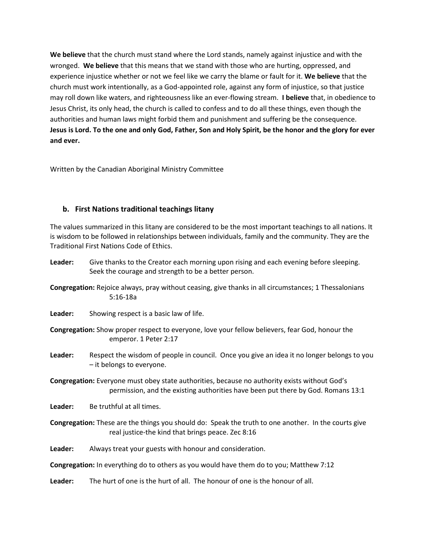**We believe** that the church must stand where the Lord stands, namely against injustice and with the wronged. **We believe** that this means that we stand with those who are hurting, oppressed, and experience injustice whether or not we feel like we carry the blame or fault for it. **We believe** that the church must work intentionally, as a God-appointed role, against any form of injustice, so that justice may roll down like waters, and righteousness like an ever-flowing stream. **I believe** that, in obedience to Jesus Christ, its only head, the church is called to confess and to do all these things, even though the authorities and human laws might forbid them and punishment and suffering be the consequence. **Jesus is Lord. To the one and only God, Father, Son and Holy Spirit, be the honor and the glory for ever and ever.**

Written by the Canadian Aboriginal Ministry Committee

## **b. First Nations traditional teachings litany**

The values summarized in this litany are considered to be the most important teachings to all nations. It is wisdom to be followed in relationships between individuals, family and the community. They are the Traditional First Nations Code of Ethics.

- **Leader:** Give thanks to the Creator each morning upon rising and each evening before sleeping. Seek the courage and strength to be a better person.
- **Congregation:** Rejoice always, pray without ceasing, give thanks in all circumstances; 1 Thessalonians 5:16-18a
- **Leader:** Showing respect is a basic law of life.
- **Congregation:** Show proper respect to everyone, love your fellow believers, fear God, honour the emperor. 1 Peter 2:17
- **Leader:** Respect the wisdom of people in council. Once you give an idea it no longer belongs to you – it belongs to everyone.
- **Congregation:** Everyone must obey state authorities, because no authority exists without God's permission, and the existing authorities have been put there by God. Romans 13:1
- **Leader:** Be truthful at all times.
- **Congregation:** These are the things you should do: Speak the truth to one another. In the courts give real justice-the kind that brings peace. Zec 8:16
- **Leader:** Always treat your guests with honour and consideration.
- **Congregation:** In everything do to others as you would have them do to you; Matthew 7:12
- **Leader:** The hurt of one is the hurt of all. The honour of one is the honour of all.